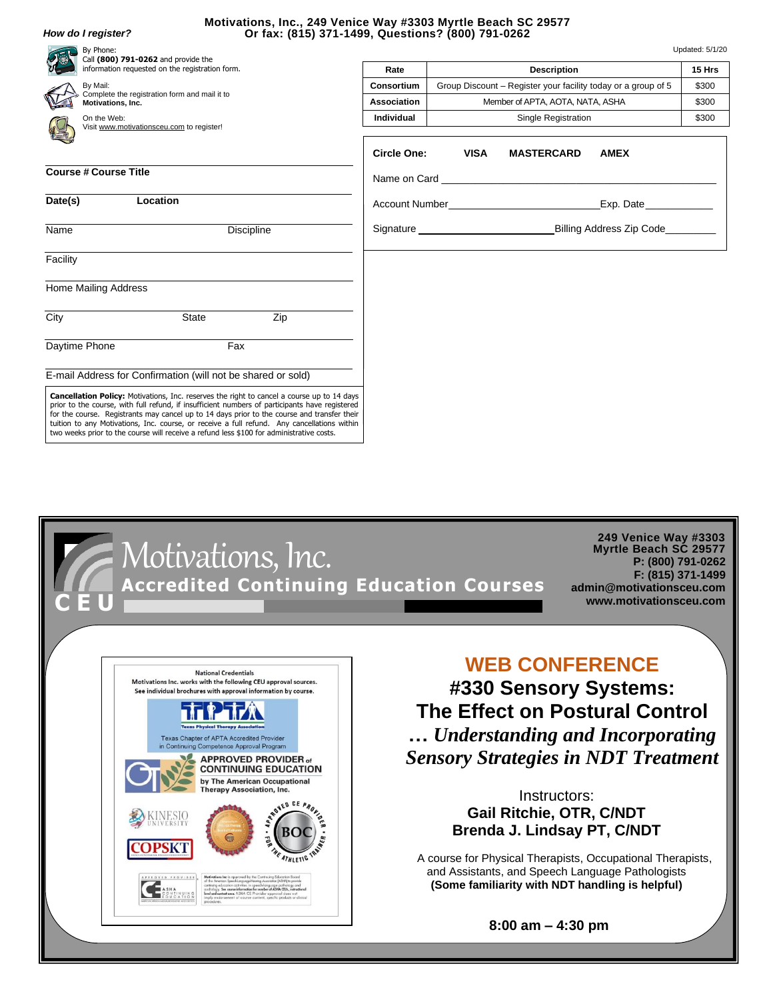## *How do I register?*

## **Motivations, Inc., 249 Venice Way #3303 Myrtle Beach SC 29577 Or fax: (815) 371-1499, Questions? (800) 791-0262**

| By Phone:<br>Call (800) 791-0262 and provide the<br>information requested on the registration form. |       |                                                                                                                                                                                                                                                                                                                                                                                                   | Updated: 5/1/20                                  |                                                               |                                                                                                                                                                                                                               |             |        |
|-----------------------------------------------------------------------------------------------------|-------|---------------------------------------------------------------------------------------------------------------------------------------------------------------------------------------------------------------------------------------------------------------------------------------------------------------------------------------------------------------------------------------------------|--------------------------------------------------|---------------------------------------------------------------|-------------------------------------------------------------------------------------------------------------------------------------------------------------------------------------------------------------------------------|-------------|--------|
|                                                                                                     |       |                                                                                                                                                                                                                                                                                                                                                                                                   | Rate                                             |                                                               | <b>Description</b>                                                                                                                                                                                                            |             | 15 Hrs |
| By Mail:<br>Complete the registration form and mail it to<br>Motivations, Inc.                      |       |                                                                                                                                                                                                                                                                                                                                                                                                   | Consortium                                       | Group Discount – Register your facility today or a group of 5 |                                                                                                                                                                                                                               |             | \$300  |
|                                                                                                     |       |                                                                                                                                                                                                                                                                                                                                                                                                   | Association                                      | Member of APTA, AOTA, NATA, ASHA                              |                                                                                                                                                                                                                               |             | \$300  |
| On the Web:                                                                                         |       |                                                                                                                                                                                                                                                                                                                                                                                                   | <b>Individual</b>                                | Single Registration                                           |                                                                                                                                                                                                                               |             | \$300  |
| Visit www.motivationsceu.com to register!                                                           |       |                                                                                                                                                                                                                                                                                                                                                                                                   |                                                  |                                                               |                                                                                                                                                                                                                               |             |        |
|                                                                                                     |       |                                                                                                                                                                                                                                                                                                                                                                                                   | <b>Circle One:</b>                               | <b>VISA</b>                                                   | <b>MASTERCARD</b>                                                                                                                                                                                                             | <b>AMEX</b> |        |
| <b>Course # Course Title</b>                                                                        |       |                                                                                                                                                                                                                                                                                                                                                                                                   |                                                  |                                                               | Name on Card and the contract of the contract of the contract of the contract of the contract of the contract of the contract of the contract of the contract of the contract of the contract of the contract of the contract |             |        |
|                                                                                                     |       |                                                                                                                                                                                                                                                                                                                                                                                                   |                                                  |                                                               |                                                                                                                                                                                                                               |             |        |
| Location<br>Date(s)                                                                                 |       |                                                                                                                                                                                                                                                                                                                                                                                                   | Account Number <b>Exercise 2018</b><br>Exp. Date |                                                               |                                                                                                                                                                                                                               |             |        |
| Name<br><b>Discipline</b>                                                                           |       | Billing Address Zip Code<br>Signature <b>Signature</b> and the state of the state of the state of the state of the state of the state of the state of the state of the state of the state of the state of the state of the state of the state of the state of t                                                                                                                                   |                                                  |                                                               |                                                                                                                                                                                                                               |             |        |
|                                                                                                     |       |                                                                                                                                                                                                                                                                                                                                                                                                   |                                                  |                                                               |                                                                                                                                                                                                                               |             |        |
| Facility                                                                                            |       |                                                                                                                                                                                                                                                                                                                                                                                                   |                                                  |                                                               |                                                                                                                                                                                                                               |             |        |
| <b>Home Mailing Address</b>                                                                         |       |                                                                                                                                                                                                                                                                                                                                                                                                   |                                                  |                                                               |                                                                                                                                                                                                                               |             |        |
| City                                                                                                | State | Zip                                                                                                                                                                                                                                                                                                                                                                                               |                                                  |                                                               |                                                                                                                                                                                                                               |             |        |
| Daytime Phone                                                                                       | Fax   |                                                                                                                                                                                                                                                                                                                                                                                                   |                                                  |                                                               |                                                                                                                                                                                                                               |             |        |
| E-mail Address for Confirmation (will not be shared or sold)                                        |       |                                                                                                                                                                                                                                                                                                                                                                                                   |                                                  |                                                               |                                                                                                                                                                                                                               |             |        |
| two weeks prior to the course will receive a refund less \$100 for administrative costs.            |       | <b>Cancellation Policy:</b> Motivations, Inc. reserves the right to cancel a course up to 14 days<br>prior to the course, with full refund, if insufficient numbers of participants have registered<br>for the course. Registrants may cancel up to 14 days prior to the course and transfer their<br>tuition to any Motivations, Inc. course, or receive a full refund. Any cancellations within |                                                  |                                                               |                                                                                                                                                                                                                               |             |        |



 **8:00 am – 4:30 pm**